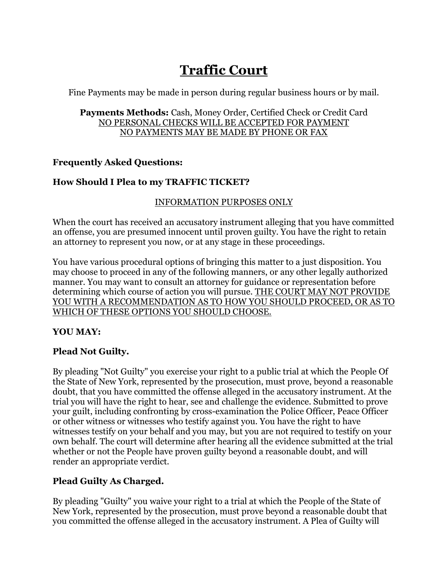# **Traffic Court**

Fine Payments may be made in person during regular business hours or by mail.

#### Payments Methods: Cash, Money Order, Certified Check or Credit Card NO PERSONAL CHECKS WILL BE ACCEPTED FOR PAYMENT NO PAYMENTS MAY BE MADE BY PHONE OR FAX

## **Frequently Asked Questions:**

## **How Should I Plea to my TRAFFIC TICKET?**

#### INFORMATION PURPOSES ONLY

When the court has received an accusatory instrument alleging that you have committed an offense, you are presumed innocent until proven guilty. You have the right to retain an attorney to represent you now, or at any stage in these proceedings.

You have various procedural options of bringing this matter to a just disposition. You may choose to proceed in any of the following manners, or any other legally authorized manner. You may want to consult an attorney for guidance or representation before determining which course of action you will pursue. THE COURT MAY NOT PROVIDE YOU WITH A RECOMMENDATION AS TO HOW YOU SHOULD PROCEED, OR AS TO WHICH OF THESE OPTIONS YOU SHOULD CHOOSE.

## **YOU MAY:**

## **Plead Not Guilty.**

By pleading "Not Guilty" you exercise your right to a public trial at which the People Of the State of New York, represented by the prosecution, must prove, beyond a reasonable doubt, that you have committed the offense alleged in the accusatory instrument. At the trial you will have the right to hear, see and challenge the evidence. Submitted to prove your guilt, including confronting by cross-examination the Police Officer, Peace Officer or other witness or witnesses who testify against you. You have the right to have witnesses testify on your behalf and you may, but you are not required to testify on your own behalf. The court will determine after hearing all the evidence submitted at the trial whether or not the People have proven guilty beyond a reasonable doubt, and will render an appropriate verdict.

## **Plead Guilty As Charged.**

By pleading "Guilty" you waive your right to a trial at which the People of the State of New York, represented by the prosecution, must prove beyond a reasonable doubt that you committed the offense alleged in the accusatory instrument. A Plea of Guilty will